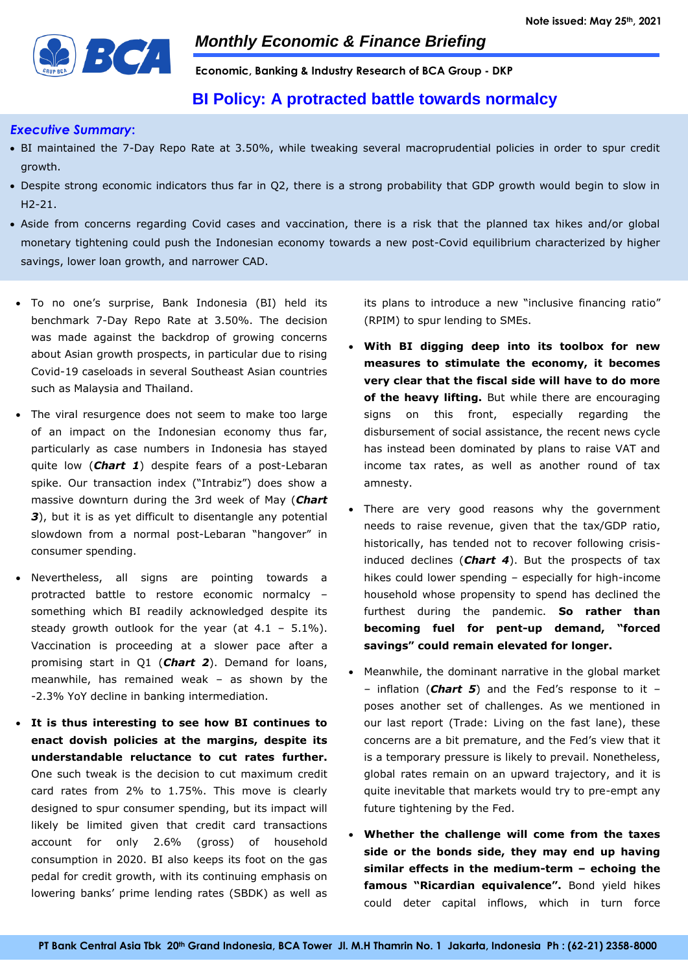

**Economic, Banking & Industry Research of BCA Group - DKP**

## **BI Policy: A protracted battle towards normalcy**

#### *Executive Summary***:**

- BI maintained the 7-Day Repo Rate at 3.50%, while tweaking several macroprudential policies in order to spur credit growth.
- Despite strong economic indicators thus far in Q2, there is a strong probability that GDP growth would begin to slow in H2-21.
- Aside from concerns regarding Covid cases and vaccination, there is a risk that the planned tax hikes and/or global monetary tightening could push the Indonesian economy towards a new post-Covid equilibrium characterized by higher savings, lower loan growth, and narrower CAD.
- To no one's surprise, Bank Indonesia (BI) held its benchmark 7-Day Repo Rate at 3.50%. The decision was made against the backdrop of growing concerns about Asian growth prospects, in particular due to rising Covid-19 caseloads in several Southeast Asian countries such as Malaysia and Thailand.
- The viral resurgence does not seem to make too large of an impact on the Indonesian economy thus far, particularly as case numbers in Indonesia has stayed quite low (*Chart 1*) despite fears of a post-Lebaran spike. Our transaction index ("Intrabiz") does show a massive downturn during the 3rd week of May (*Chart 3*), but it is as yet difficult to disentangle any potential slowdown from a normal post-Lebaran "hangover" in consumer spending.
- Nevertheless, all signs are pointing towards a protracted battle to restore economic normalcy – something which BI readily acknowledged despite its steady growth outlook for the year (at  $4.1 - 5.1\%$ ). Vaccination is proceeding at a slower pace after a promising start in Q1 (*Chart 2*). Demand for loans, meanwhile, has remained weak – as shown by the -2.3% YoY decline in banking intermediation.
- **It is thus interesting to see how BI continues to enact dovish policies at the margins, despite its understandable reluctance to cut rates further.**  One such tweak is the decision to cut maximum credit card rates from 2% to 1.75%. This move is clearly designed to spur consumer spending, but its impact will likely be limited given that credit card transactions account for only 2.6% (gross) of household consumption in 2020. BI also keeps its foot on the gas pedal for credit growth, with its continuing emphasis on lowering banks' prime lending rates (SBDK) as well as

its plans to introduce a new "inclusive financing ratio" (RPIM) to spur lending to SMEs.

- **With BI digging deep into its toolbox for new measures to stimulate the economy, it becomes very clear that the fiscal side will have to do more of the heavy lifting.** But while there are encouraging signs on this front, especially regarding the disbursement of social assistance, the recent news cycle has instead been dominated by plans to raise VAT and income tax rates, as well as another round of tax amnesty.
- There are very good reasons why the government needs to raise revenue, given that the tax/GDP ratio, historically, has tended not to recover following crisisinduced declines (*Chart 4*). But the prospects of tax hikes could lower spending – especially for high-income household whose propensity to spend has declined the furthest during the pandemic. **So rather than becoming fuel for pent-up demand, "forced savings" could remain elevated for longer.**
- Meanwhile, the dominant narrative in the global market – inflation (*Chart 5*) and the Fed's response to it – poses another set of challenges. As we mentioned in our last report (Trade: Living on the fast lane), these concerns are a bit premature, and the Fed's view that it is a temporary pressure is likely to prevail. Nonetheless, global rates remain on an upward trajectory, and it is quite inevitable that markets would try to pre-empt any future tightening by the Fed.
- **Whether the challenge will come from the taxes side or the bonds side, they may end up having similar effects in the medium-term – echoing the famous "Ricardian equivalence".** Bond yield hikes could deter capital inflows, which in turn force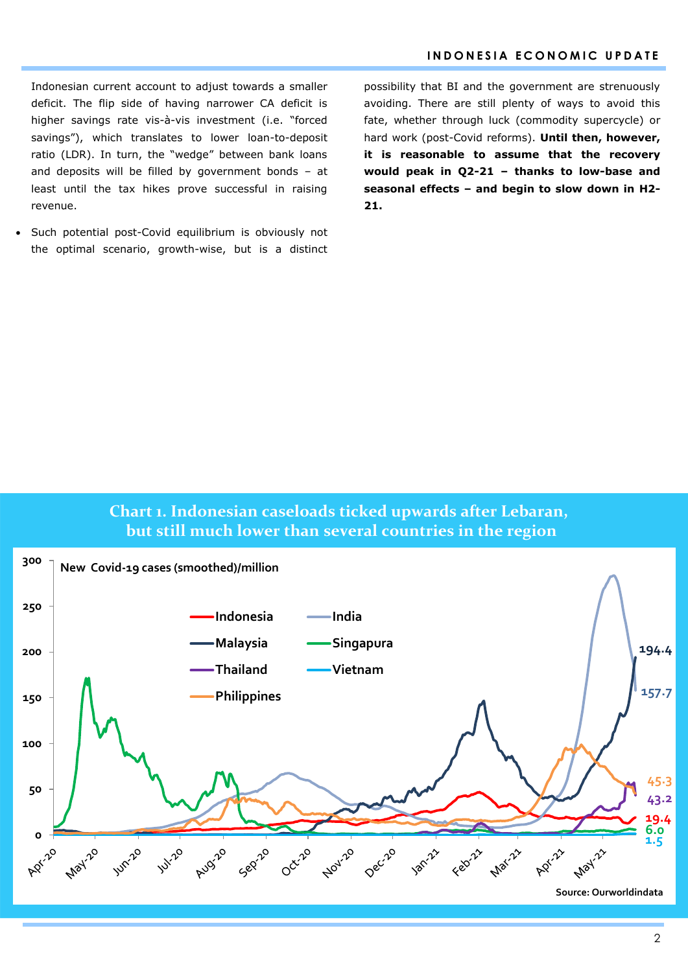Indonesian current account to adjust towards a smaller deficit. The flip side of having narrower CA deficit is higher savings rate vis-à-vis investment (i.e. "forced savings"), which translates to lower loan-to-deposit ratio (LDR). In turn, the "wedge" between bank loans and deposits will be filled by government bonds – at least until the tax hikes prove successful in raising revenue.

 Such potential post-Covid equilibrium is obviously not the optimal scenario, growth-wise, but is a distinct

possibility that BI and the government are strenuously avoiding. There are still plenty of ways to avoid this fate, whether through luck (commodity supercycle) or hard work (post-Covid reforms). **Until then, however, it is reasonable to assume that the recovery would peak in Q2-21 – thanks to low-base and seasonal effects – and begin to slow down in H2- 21.**

# **Chart 1. Indonesian caseloads ticked upwards after Lebaran, but still much lower than several countries in the region**

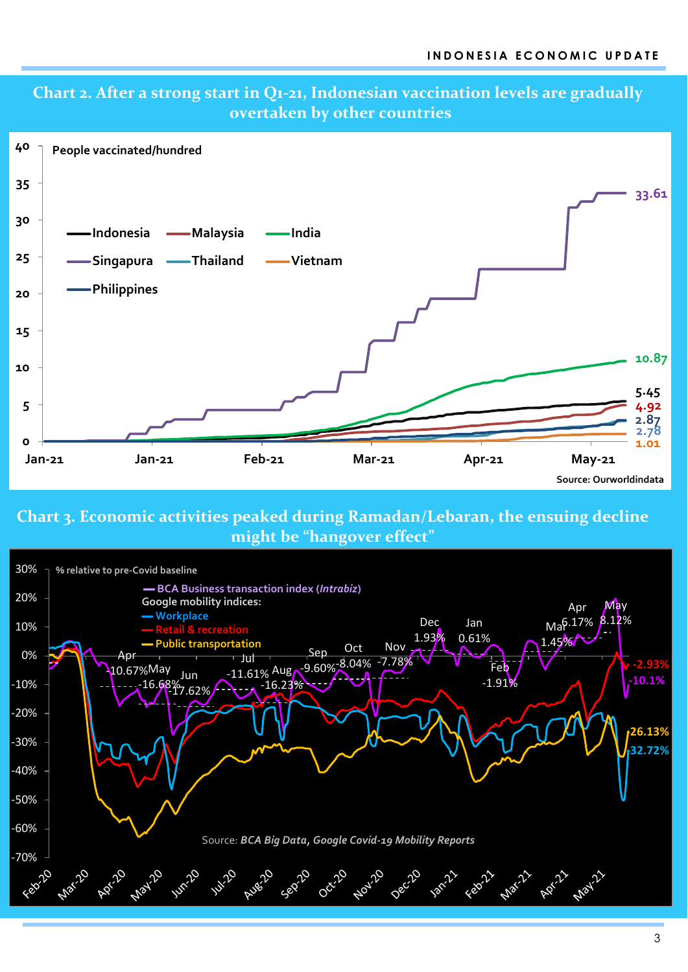

# **Chart 2. After a strong start in Q1-21, Indonesian vaccination levels are gradually**

# **Chart 3. Economic activities peaked during Ramadan/Lebaran, the ensuing decline might be "hangover effect"**

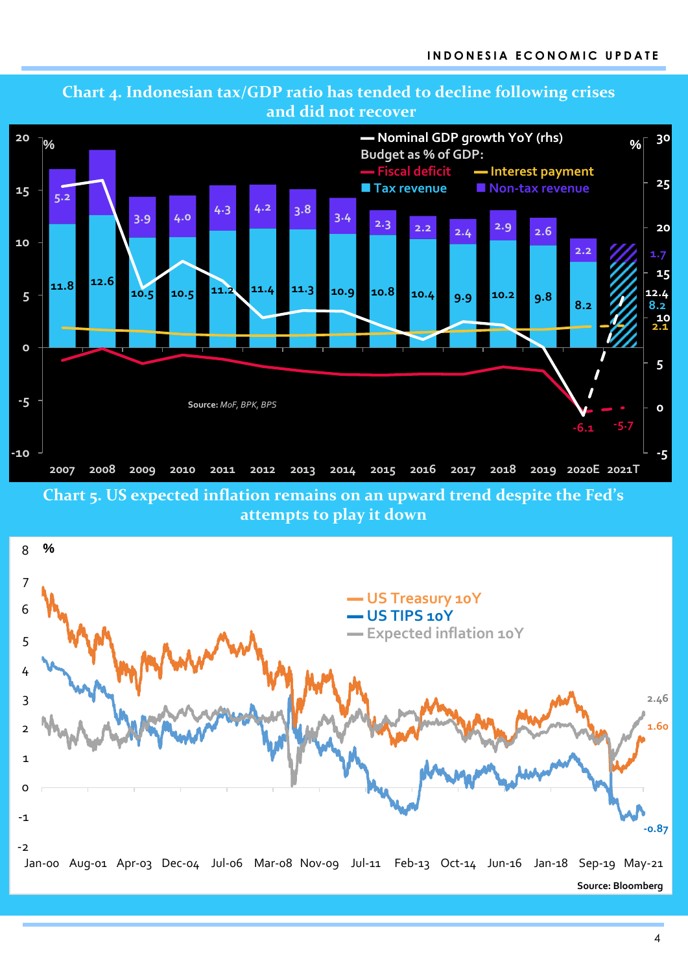

# **Chart 4. Indonesian tax/GDP ratio has tended to decline following crises and did not recover**

**attempts to play it down**

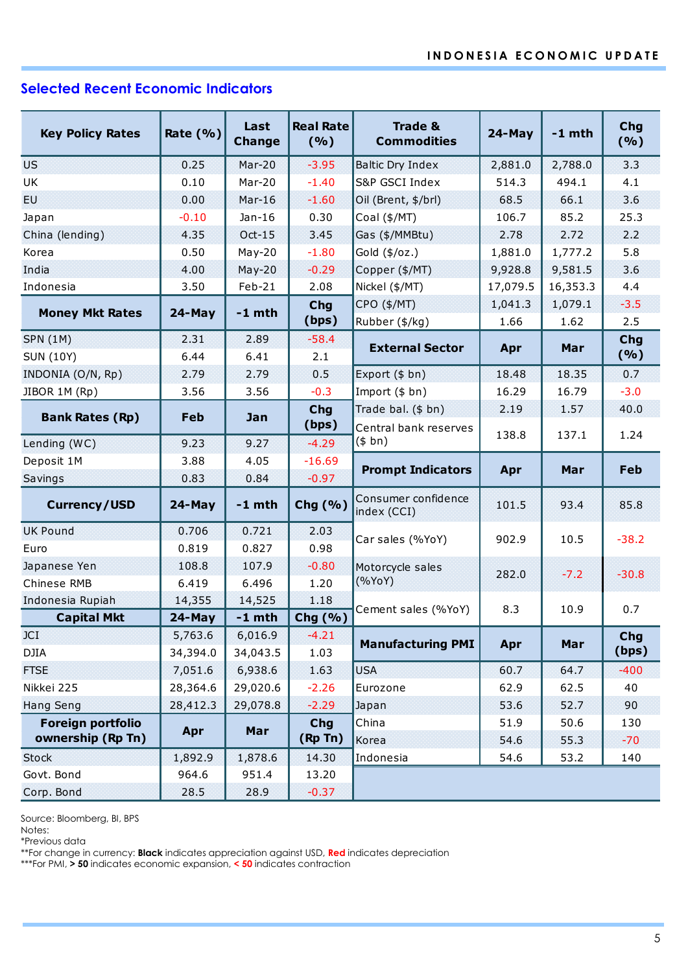# **Selected Recent Economic Indicators**

| <b>Key Policy Rates</b> | Rate $(% )$ | Last<br><b>Change</b> | <b>Real Rate</b><br>(%) | <b>Trade &amp;</b><br><b>Commodities</b> | $24$ -May     | $-1$ mth      | Chg<br>(%)   |  |
|-------------------------|-------------|-----------------------|-------------------------|------------------------------------------|---------------|---------------|--------------|--|
| <b>US</b>               | 0.25        | $Mar-20$              | $-3.95$                 | <b>Baltic Dry Index</b>                  | 2,881.0       | 2,788.0       | 3.3          |  |
| UK                      | 0.10        | Mar-20                | $-1.40$                 | S&P GSCI Index                           |               | 494.1         | 4.1          |  |
| <b>EU</b>               | 0.00        | $Mar-16$              | $-1.60$                 | Oil (Brent, \$/brl)                      | 68.5          | 66.1          | 3.6          |  |
| Japan                   | $-0.10$     | $Jan-16$              | 0.30                    | Coal (\$/MT)                             | 106.7         | 85.2          | 25.3         |  |
| China (lending)         | 4.35        | $Oct-15$              | 3.45                    | Gas (\$/MMBtu)                           | 2.78          | 2.72          | 2.2          |  |
| Korea                   | 0.50        | $May-20$              | $-1.80$                 | Gold $(\frac{4}{2})$                     | 1,881.0       | 1,777.2       | 5.8          |  |
| India                   | 4.00        | $May-20$              | $-0.29$                 | Copper (\$/MT)                           | 9,928.8       | 9,581.5       | 3.6          |  |
| Indonesia               | 3.50        | Feb-21                | 2.08                    | Nickel (\$/MT)                           | 17,079.5      | 16,353.3      | 4.4          |  |
|                         | $24$ -May   | $-1$ mth              | Chg                     | CPO (\$/MT)                              | 1,041.3       | 1,079.1       | $-3.5$       |  |
| <b>Money Mkt Rates</b>  |             |                       | (bps)                   | Rubber (\$/kg)                           | 1.66          | 1.62          | 2.5          |  |
| <b>SPN (1M)</b>         | 2.31        | 2.89                  | $-58.4$                 | <b>External Sector</b>                   | Apr           | Mar           | Chg          |  |
| <b>SUN (10Y)</b>        | 6.44        | 6.41                  | 2.1                     |                                          |               |               | (%)          |  |
| INDONIA (O/N, Rp)       | 2.79        | 2.79                  | 0.5                     | Export (\$ bn)                           | 18.48         | 18.35         | 0.7          |  |
| JIBOR 1M (Rp)           | 3.56        | 3.56                  | $-0.3$                  | Import (\$ bn)                           | 16.29         | 16.79         | $-3.0$       |  |
| <b>Bank Rates (Rp)</b>  | Feb         | Jan                   | <b>Chg</b>              | Trade bal. (\$ bn)                       | 2.19<br>138.8 | 1.57<br>137.1 | 40.0<br>1.24 |  |
|                         |             |                       | (bps)                   | Central bank reserves                    |               |               |              |  |
| Lending (WC)            | 9.23        | 9.27                  | $-4.29$                 | (\$bn)                                   |               |               |              |  |
| Deposit 1M              | 3.88        | 4.05                  | $-16.69$                | <b>Prompt Indicators</b>                 | Apr           | Mar           | Feb          |  |
| Savings                 | 0.83        | 0.84                  | $-0.97$                 |                                          |               |               |              |  |
| <b>Currency/USD</b>     | $24$ -May   | $-1$ mth              | Chg (%)                 | Consumer confidence<br>index (CCI)       | 101.5         | 93.4          | 85.8         |  |
| <b>UK Pound</b>         | 0.706       | 0.721                 | 2.03                    | Car sales (%YoY)                         | 902.9         | 10.5          | $-38.2$      |  |
| Euro                    | 0.819       | 0.827                 | 0.98                    |                                          |               |               |              |  |
| Japanese Yen            | 108.8       | 107.9                 | $-0.80$                 | Motorcycle sales                         | 282.0         | $-7.2$        | $-30.8$      |  |
| Chinese RMB             | 6.419       | 6.496                 | 1.20                    | (%YoY)                                   |               |               |              |  |
| Indonesia Rupiah        | 14,355      | 14,525                | 1.18                    | Cement sales (%YoY)                      | 8.3           | 10.9          | 0.7          |  |
| <b>Capital Mkt</b>      | 24-May      | $-1$ mth              | Chg (%)                 |                                          |               |               |              |  |
| <b>JCI</b>              | 5,763.6     | 6,016.9               | $-4.21$                 | <b>Manufacturing PMI</b>                 | Apr           | Mar           | Chg          |  |
| <b>DJIA</b>             | 34,394.0    | 34,043.5              | 1.03                    |                                          |               |               | (bps)        |  |
| <b>FTSE</b>             | 7,051.6     | 6,938.6               | 1.63                    | <b>USA</b>                               | 60.7          | 64.7          | $-400$       |  |
| Nikkei 225              | 28,364.6    | 29,020.6              | $-2.26$                 | Eurozone                                 | 62.9          | 62.5          | 40           |  |
| <b>Hang Seng</b>        | 28,412.3    | 29,078.8              | $-2.29$                 | Japan                                    |               | 52.7          | 90           |  |
| Foreign portfolio       | Apr         | Mar                   | <b>Chg</b>              | China                                    | 51.9          | 50.6          | 130          |  |
| ownership (Rp Tn)       |             |                       | (Rp Tn)                 | Korea                                    | 54.6          | 55.3          | $-70$        |  |
| <b>Stock</b>            | 1,892.9     | 1,878.6               | 14.30                   | Indonesia                                | 54.6          | 53.2          | 140          |  |
| Govt. Bond              | 964.6       | 951.4                 | 13.20                   |                                          |               |               |              |  |
| Corp. Bond              | 28.5        | 28.9                  | $-0.37$                 |                                          |               |               |              |  |

Source: Bloomberg, BI, BPS

Notes:

\*Previous data

\*\*For change in currency: **Black** indicates appreciation against USD, **Red** indicates depreciation

\*\*\*For PMI, **> 50** indicates economic expansion, **< 50** indicates contraction